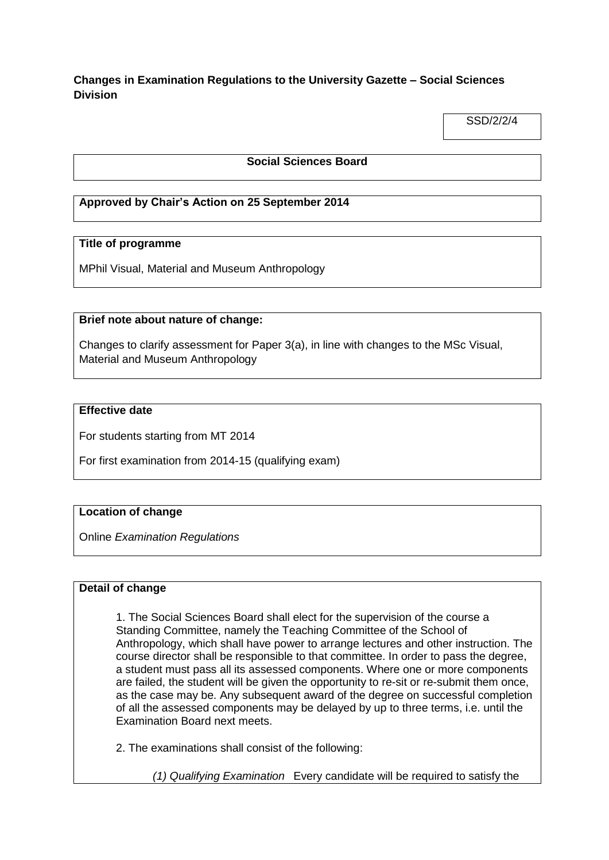# **Changes in Examination Regulations to the University Gazette – Social Sciences Division**

SSD/2/2/4

## **Social Sciences Board**

# **Approved by Chair's Action on 25 September 2014**

## **Title of programme**

MPhil Visual, Material and Museum Anthropology

## **Brief note about nature of change:**

Changes to clarify assessment for Paper 3(a), in line with changes to the MSc Visual, Material and Museum Anthropology

#### **Effective date**

For students starting from MT 2014

For first examination from 2014-15 (qualifying exam)

## **Location of change**

Online *Examination Regulations*

#### **Detail of change**

1. The Social Sciences Board shall elect for the supervision of the course a Standing Committee, namely the Teaching Committee of the School of Anthropology, which shall have power to arrange lectures and other instruction. The course director shall be responsible to that committee. In order to pass the degree, a student must pass all its assessed components. Where one or more components are failed, the student will be given the opportunity to re-sit or re-submit them once, as the case may be. Any subsequent award of the degree on successful completion of all the assessed components may be delayed by up to three terms, i.e. until the Examination Board next meets.

2. The examinations shall consist of the following:

*(1) Qualifying Examination* Every candidate will be required to satisfy the